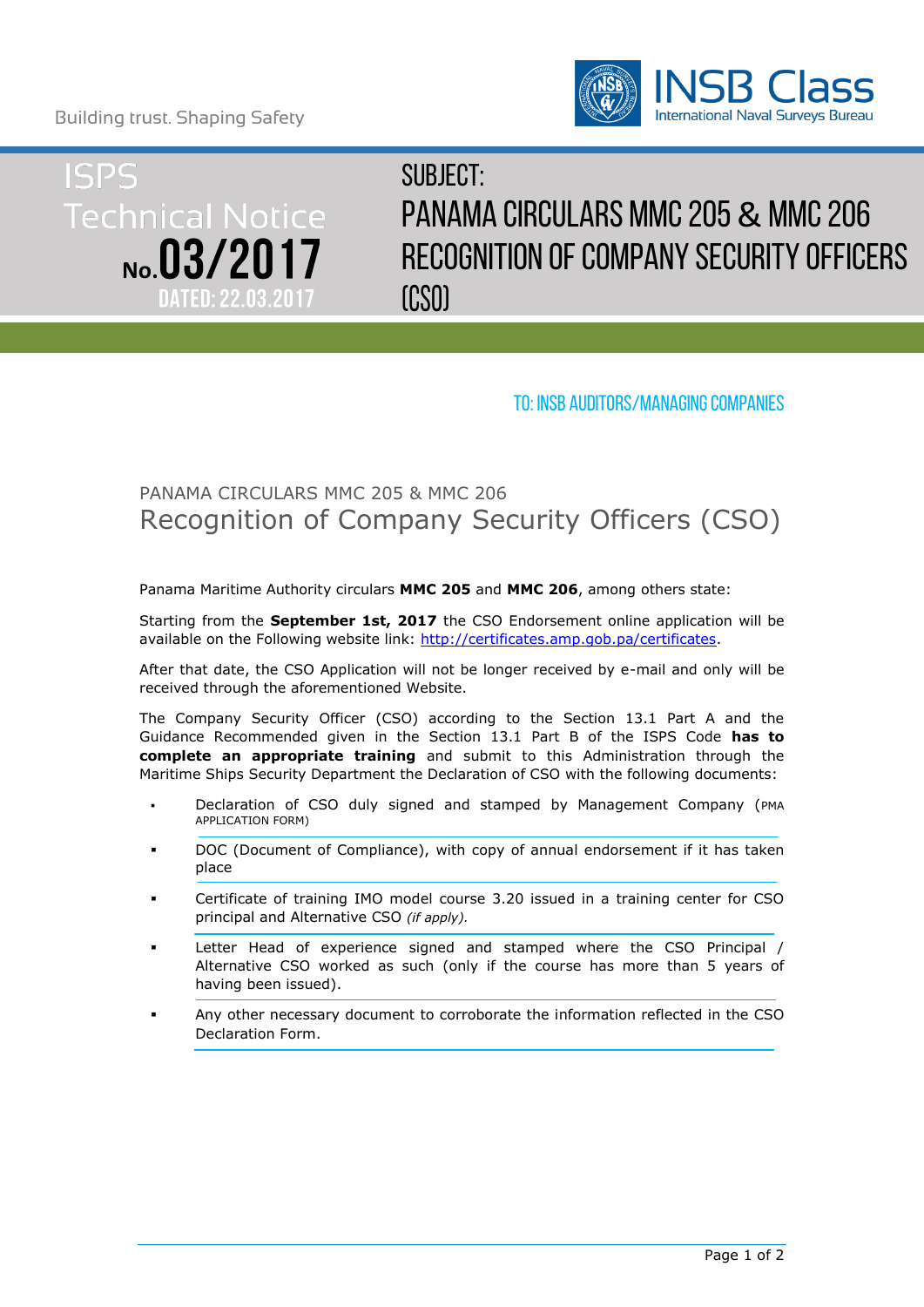Building trust. Shaping Safety





# $SIIRIFC T$ PANAMA CIRCULARS MMC 205 & MMC 206 Recognition of Company Security Officers (CSO)

## To: insb auditors/managing companies

# PANAMA CIRCULARS MMC 205 & MMC 206 Recognition of Company Security Officers (CSO)

Panama Maritime Authority circulars **MMC 205** and **MMC 206**, among others state:

Starting from the **September 1st, 2017** the CSO Endorsement online application will be available on the Following website link: [http://certificates.amp.gob.pa/certificates.](http://certificates.amp.gob.pa/certificates)

After that date, the CSO Application will not be longer received by e-mail and only will be received through the aforementioned Website.

The Company Security Officer (CSO) according to the Section 13.1 Part A and the Guidance Recommended given in the Section 13.1 Part B of the ISPS Code **has to complete an appropriate training** and submit to this Administration through the Maritime Ships Security Department the Declaration of CSO with the following documents:

- Declaration of CSO duly signed and stamped by Management Company (PMA APPLICATION FORM)
- DOC (Document of Compliance), with copy of annual endorsement if it has taken place
- Certificate of training IMO model course 3.20 issued in a training center for CSO principal and Alternative CSO *(if apply).*
- Letter Head of experience signed and stamped where the CSO Principal / Alternative CSO worked as such (only if the course has more than 5 years of having been issued).
- Any other necessary document to corroborate the information reflected in the CSO Declaration Form.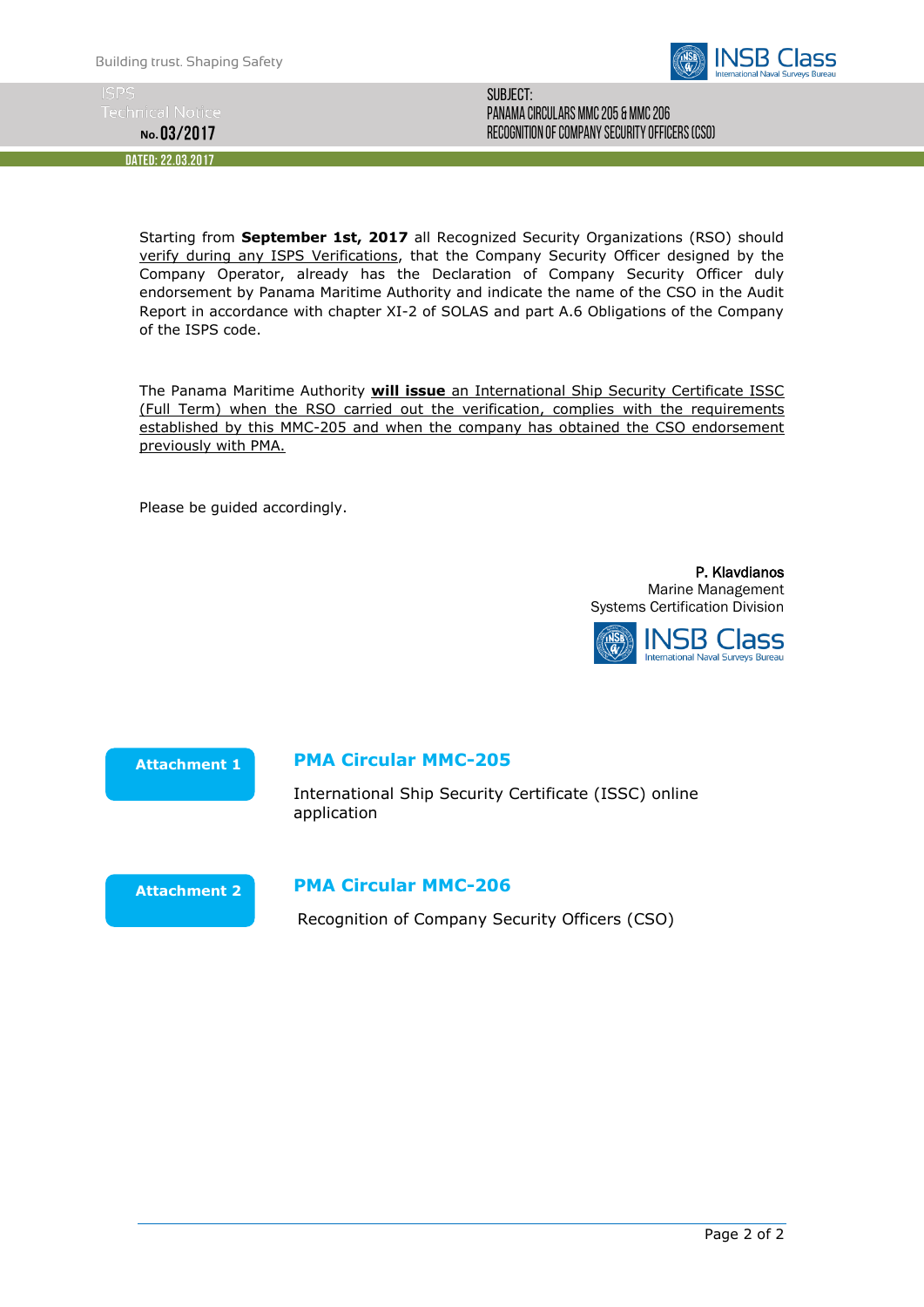

**No.**

DATED: 22.03.2017

Subject: PANAMA CIRCULARS MMC 205 & MMC 206 Recognition of Company Security Officers (CSO)

Starting from **September 1st, 2017** all Recognized Security Organizations (RSO) should verify during any ISPS Verifications, that the Company Security Officer designed by the Company Operator, already has the Declaration of Company Security Officer duly endorsement by Panama Maritime Authority and indicate the name of the CSO in the Audit Report in accordance with chapter XI-2 of SOLAS and part A.6 Obligations of the Company of the ISPS code.

The Panama Maritime Authority **will issue** an International Ship Security Certificate ISSC (Full Term) when the RSO carried out the verification, complies with the requirements established by this MMC-205 and when the company has obtained the CSO endorsement previously with PMA.

Please be guided accordingly.

P. Klavdianos Marine Management Systems Certification Division



**Attachment 1**

#### **PMA Circular MMC-205**

International Ship Security Certificate (ISSC) online application



#### **PMA Circular MMC-206**

Recognition of Company Security Officers (CSO)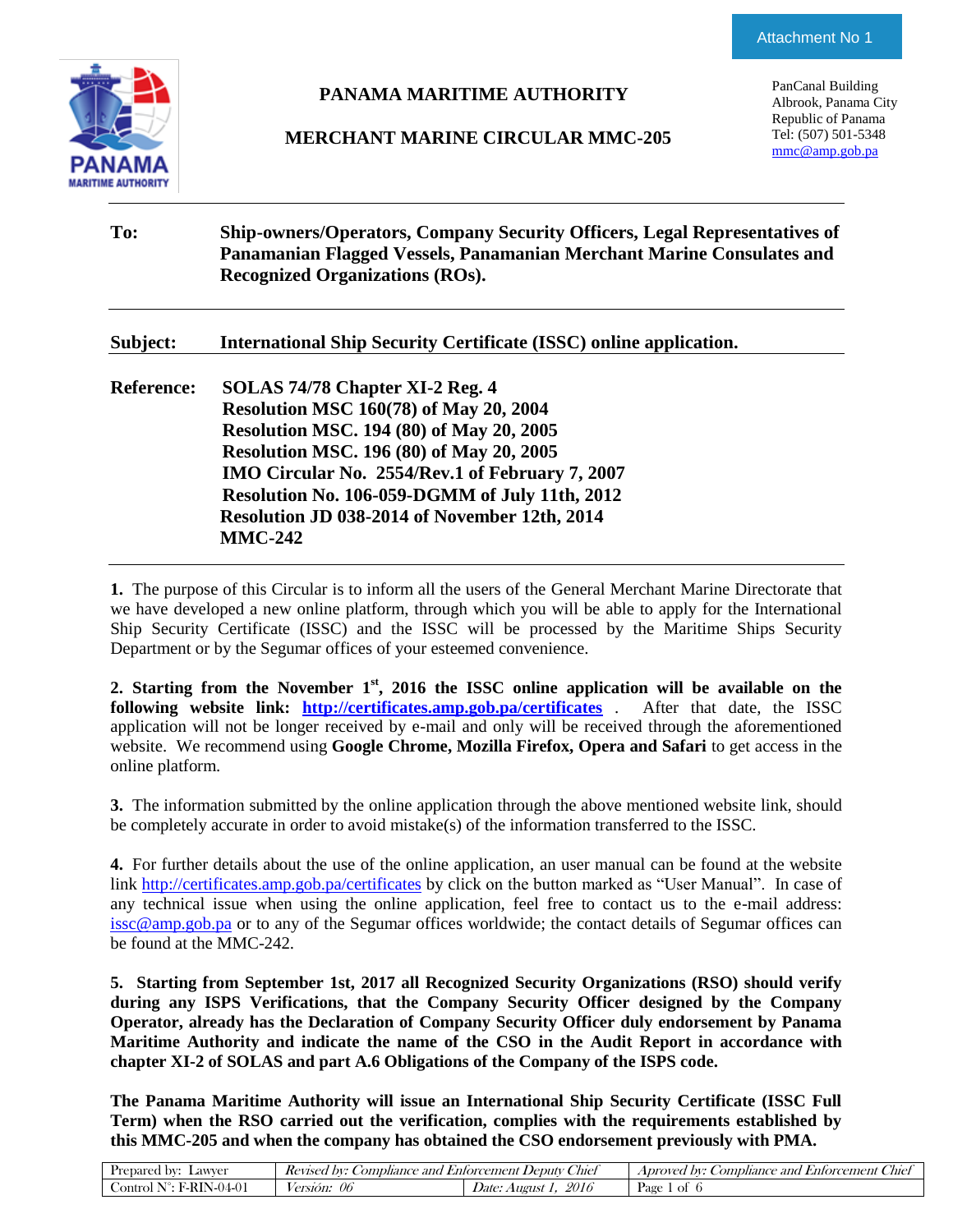

## **PANAMA MARITIME AUTHORITY**

#### **MERCHANT MARINE CIRCULAR MMC-205**

PanCanal Building Albrook, Panama City Republic of Panama Tel: (507) 501-5348 [mmc@amp.gob.pa](mailto:mmc@amp.gob.pa)

| To:               | <b>Ship-owners/Operators, Company Security Officers, Legal Representatives of</b><br>Panamanian Flagged Vessels, Panamanian Merchant Marine Consulates and<br><b>Recognized Organizations (ROs).</b>                                                                                                                                                           |
|-------------------|----------------------------------------------------------------------------------------------------------------------------------------------------------------------------------------------------------------------------------------------------------------------------------------------------------------------------------------------------------------|
| Subject:          | <b>International Ship Security Certificate (ISSC) online application.</b>                                                                                                                                                                                                                                                                                      |
| <b>Reference:</b> | SOLAS 74/78 Chapter XI-2 Reg. 4<br><b>Resolution MSC 160(78) of May 20, 2004</b><br><b>Resolution MSC. 194 (80) of May 20, 2005</b><br><b>Resolution MSC. 196 (80) of May 20, 2005</b><br>IMO Circular No. 2554/Rev.1 of February 7, 2007<br>Resolution No. 106-059-DGMM of July 11th, 2012<br>Resolution JD 038-2014 of November 12th, 2014<br><b>MMC-242</b> |

**1.** The purpose of this Circular is to inform all the users of the General Merchant Marine Directorate that we have developed a new online platform, through which you will be able to apply for the International Ship Security Certificate (ISSC) and the ISSC will be processed by the Maritime Ships Security Department or by the Segumar offices of your esteemed convenience.

**2. Starting from the November 1st, 2016 the ISSC online application will be available on the following website link: <http://certificates.amp.gob.pa/certificates>** . After that date, the ISSC application will not be longer received by e-mail and only will be received through the aforementioned website. We recommend using **Google Chrome, Mozilla Firefox, Opera and Safari** to get access in the online platform.

**3.** The information submitted by the online application through the above mentioned website link, should be completely accurate in order to avoid mistake(s) of the information transferred to the ISSC.

**4.** For further details about the use of the online application, an user manual can be found at the website link<http://certificates.amp.gob.pa/certificates> by click on the button marked as "User Manual". In case of any technical issue when using the online application, feel free to contact us to the e-mail address: [issc@amp.gob.pa](mailto:issc@amp.gob.pa) or to any of the Segumar offices worldwide; the contact details of Segumar offices can be found at the MMC-242.

**5. Starting from September 1st, 2017 all Recognized Security Organizations (RSO) should verify during any ISPS Verifications, that the Company Security Officer designed by the Company Operator, already has the Declaration of Company Security Officer duly endorsement by Panama Maritime Authority and indicate the name of the CSO in the Audit Report in accordance with chapter XI-2 of SOLAS and part A.6 Obligations of the Company of the ISPS code.**

**The Panama Maritime Authority will issue an International Ship Security Certificate (ISSC Full Term) when the RSO carried out the verification, complies with the requirements established by this MMC-205 and when the company has obtained the CSO endorsement previously with PMA.**

| Lawver<br>Prepared by:                    | ompliance and<br>DV:<br>Kevised | $\sim$<br>Chief<br>., Deputy :<br><i>Entorcement</i> | bv:<br>and<br><i>. ombliance</i><br>Aproved<br>. Enforcement<br>Chie |
|-------------------------------------------|---------------------------------|------------------------------------------------------|----------------------------------------------------------------------|
| <b>F-RIN-04-01</b><br>- 140<br>.ontrol. ' | $\omega$<br>ersion:             | 2016<br><i>Date:</i><br>August                       | Page<br>Ωt                                                           |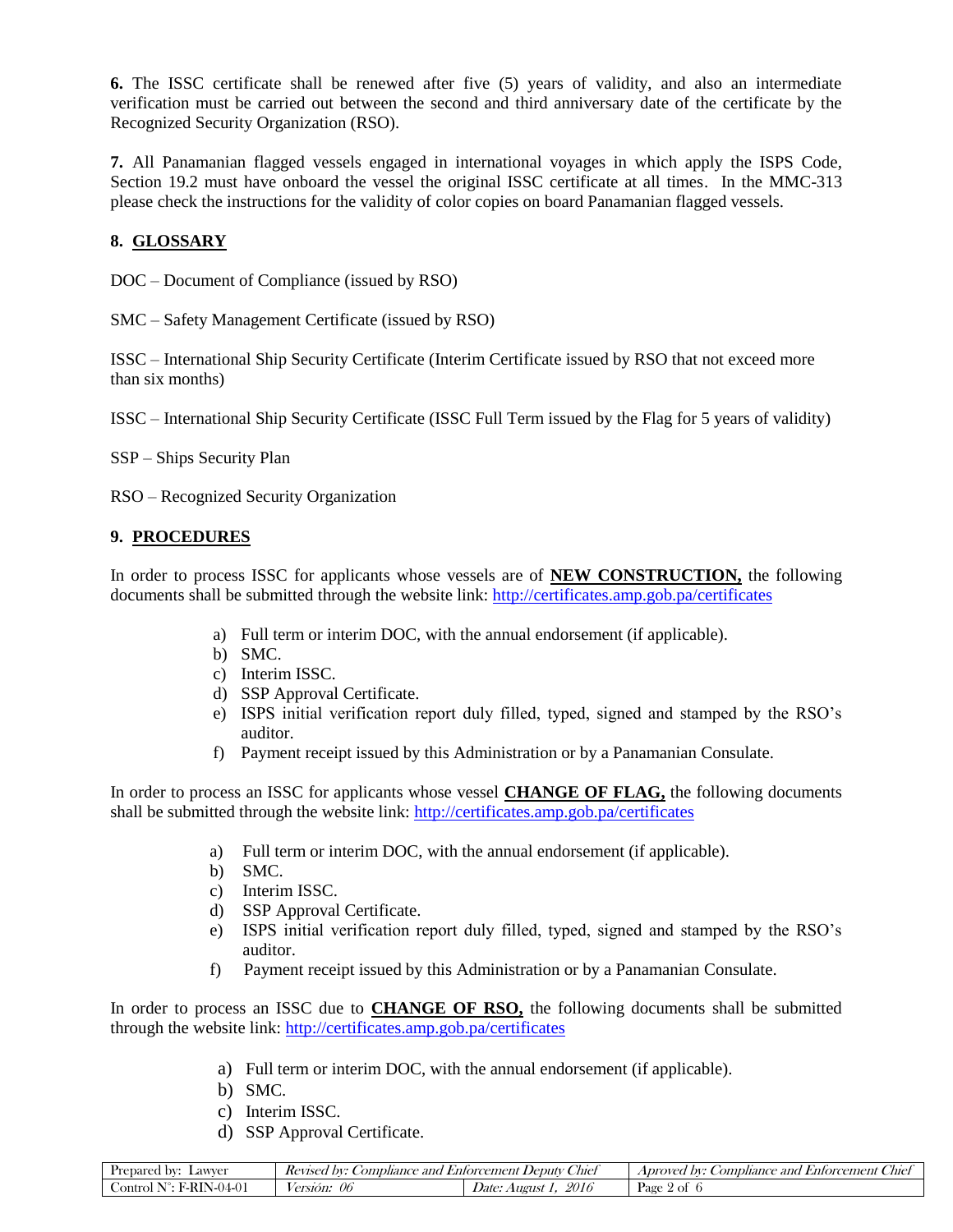**6.** The ISSC certificate shall be renewed after five (5) years of validity, and also an intermediate verification must be carried out between the second and third anniversary date of the certificate by the Recognized Security Organization (RSO).

**7.** All Panamanian flagged vessels engaged in international voyages in which apply the ISPS Code, Section 19.2 must have onboard the vessel the original ISSC certificate at all times. In the MMC-313 please check the instructions for the validity of color copies on board Panamanian flagged vessels.

#### **8. GLOSSARY**

DOC – Document of Compliance (issued by RSO)

SMC – Safety Management Certificate (issued by RSO)

ISSC – International Ship Security Certificate (Interim Certificate issued by RSO that not exceed more than six months)

ISSC – International Ship Security Certificate (ISSC Full Term issued by the Flag for 5 years of validity)

SSP – Ships Security Plan

RSO – Recognized Security Organization

#### **9. PROCEDURES**

In order to process ISSC for applicants whose vessels are of **NEW CONSTRUCTION,** the following documents shall be submitted through the website link:<http://certificates.amp.gob.pa/certificates>

- a) Full term or interim DOC, with the annual endorsement (if applicable).
- b) SMC.
- c) Interim ISSC.
- d) SSP Approval Certificate.
- e) ISPS initial verification report duly filled, typed, signed and stamped by the RSO's auditor.
- f) Payment receipt issued by this Administration or by a Panamanian Consulate.

In order to process an ISSC for applicants whose vessel **CHANGE OF FLAG,** the following documents shall be submitted through the website link:<http://certificates.amp.gob.pa/certificates>

- a) Full term or interim DOC, with the annual endorsement (if applicable).
- b) SMC.
- c) Interim ISSC.
- d) SSP Approval Certificate.
- e) ISPS initial verification report duly filled, typed, signed and stamped by the RSO's auditor.
- f) Payment receipt issued by this Administration or by a Panamanian Consulate.

In order to process an ISSC due to **CHANGE OF RSO,** the following documents shall be submitted through the website link:<http://certificates.amp.gob.pa/certificates>

- a) Full term or interim DOC, with the annual endorsement (if applicable).
- b) SMC.
- c) Interim ISSC.
- d) SSP Approval Certificate.

| Lawver<br>hv<br>Prepared        | . $D V^*$<br>. ombliance<br>and<br><i>Kevisee</i> | $\sim$<br>_hief<br>$\rho$ edul $r$<br>Enforcement | --<br>$\sim$<br>A <i>provec</i><br>omphance<br>. $D V^*$<br>and<br>Chiel<br><i>Enforcement</i> |
|---------------------------------|---------------------------------------------------|---------------------------------------------------|------------------------------------------------------------------------------------------------|
| ⊮ RF<br>ontrol<br>$N - 1/4 - 1$ | 06<br>ersion.                                     | 2016<br>Augus'<br>Date:                           | Page<br>Οİ                                                                                     |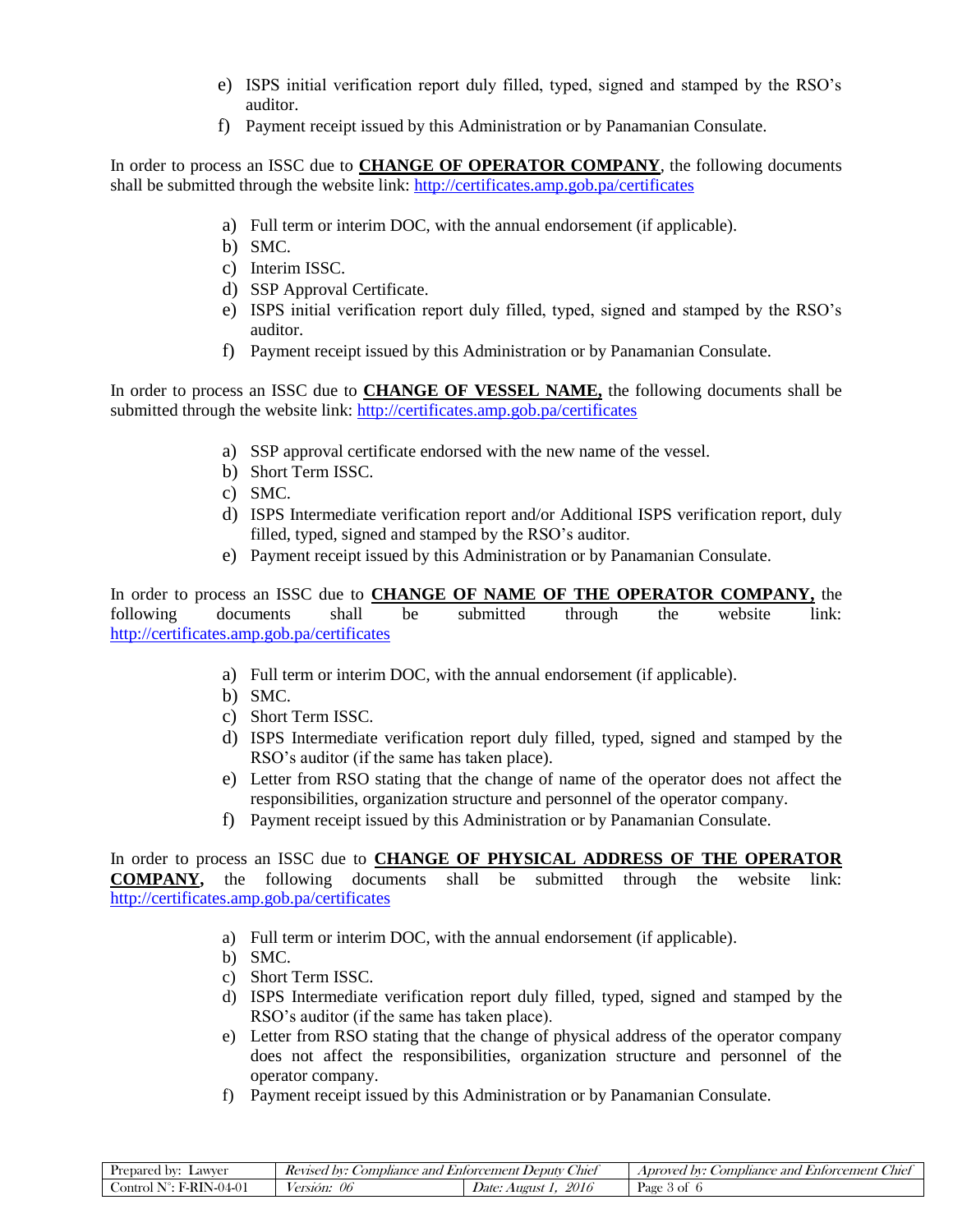- e) ISPS initial verification report duly filled, typed, signed and stamped by the RSO's auditor.
- f) Payment receipt issued by this Administration or by Panamanian Consulate.

In order to process an ISSC due to **CHANGE OF OPERATOR COMPANY**, the following documents shall be submitted through the website link:<http://certificates.amp.gob.pa/certificates>

- a) Full term or interim DOC, with the annual endorsement (if applicable).
- b) SMC.
- c) Interim ISSC.
- d) SSP Approval Certificate.
- e) ISPS initial verification report duly filled, typed, signed and stamped by the RSO's auditor.
- f) Payment receipt issued by this Administration or by Panamanian Consulate.

In order to process an ISSC due to **CHANGE OF VESSEL NAME,** the following documents shall be submitted through the website link:<http://certificates.amp.gob.pa/certificates>

- a) SSP approval certificate endorsed with the new name of the vessel.
- b) Short Term ISSC.
- c) SMC.
- d) ISPS Intermediate verification report and/or Additional ISPS verification report, duly filled, typed, signed and stamped by the RSO's auditor.
- e) Payment receipt issued by this Administration or by Panamanian Consulate.

In order to process an ISSC due to **CHANGE OF NAME OF THE OPERATOR COMPANY,** the following documents shall be submitted through the website link: <http://certificates.amp.gob.pa/certificates>

- a) Full term or interim DOC, with the annual endorsement (if applicable).
- b) SMC.
- c) Short Term ISSC.
- d) ISPS Intermediate verification report duly filled, typed, signed and stamped by the RSO's auditor (if the same has taken place).
- e) Letter from RSO stating that the change of name of the operator does not affect the responsibilities, organization structure and personnel of the operator company.
- f) Payment receipt issued by this Administration or by Panamanian Consulate.

In order to process an ISSC due to **CHANGE OF PHYSICAL ADDRESS OF THE OPERATOR COMPANY,** the following documents shall be submitted through the website link: <http://certificates.amp.gob.pa/certificates>

- a) Full term or interim DOC, with the annual endorsement (if applicable).
- b) SMC.
- c) Short Term ISSC.
- d) ISPS Intermediate verification report duly filled, typed, signed and stamped by the RSO's auditor (if the same has taken place).
- e) Letter from RSO stating that the change of physical address of the operator company does not affect the responsibilities, organization structure and personnel of the operator company.
- f) Payment receipt issued by this Administration or by Panamanian Consulate.

| Lawver<br>DV.<br><b>Prepared</b>  | hv•<br><i>_ombliance</i><br>and<br><i>Kevised</i> | ~<br>. Deputy<br>Chief<br><i>Entorcement</i> | $\sim$<br>. bv:<br>_hief<br>A <i>proved</i><br>. ombliance<br>and<br>Enforcement |
|-----------------------------------|---------------------------------------------------|----------------------------------------------|----------------------------------------------------------------------------------|
| $(4-0)$<br>ontrol<br>י-י<br>н. н. | 06<br><i>version.</i>                             | 2016<br>August<br><i>Date:</i>               | Page<br>-01                                                                      |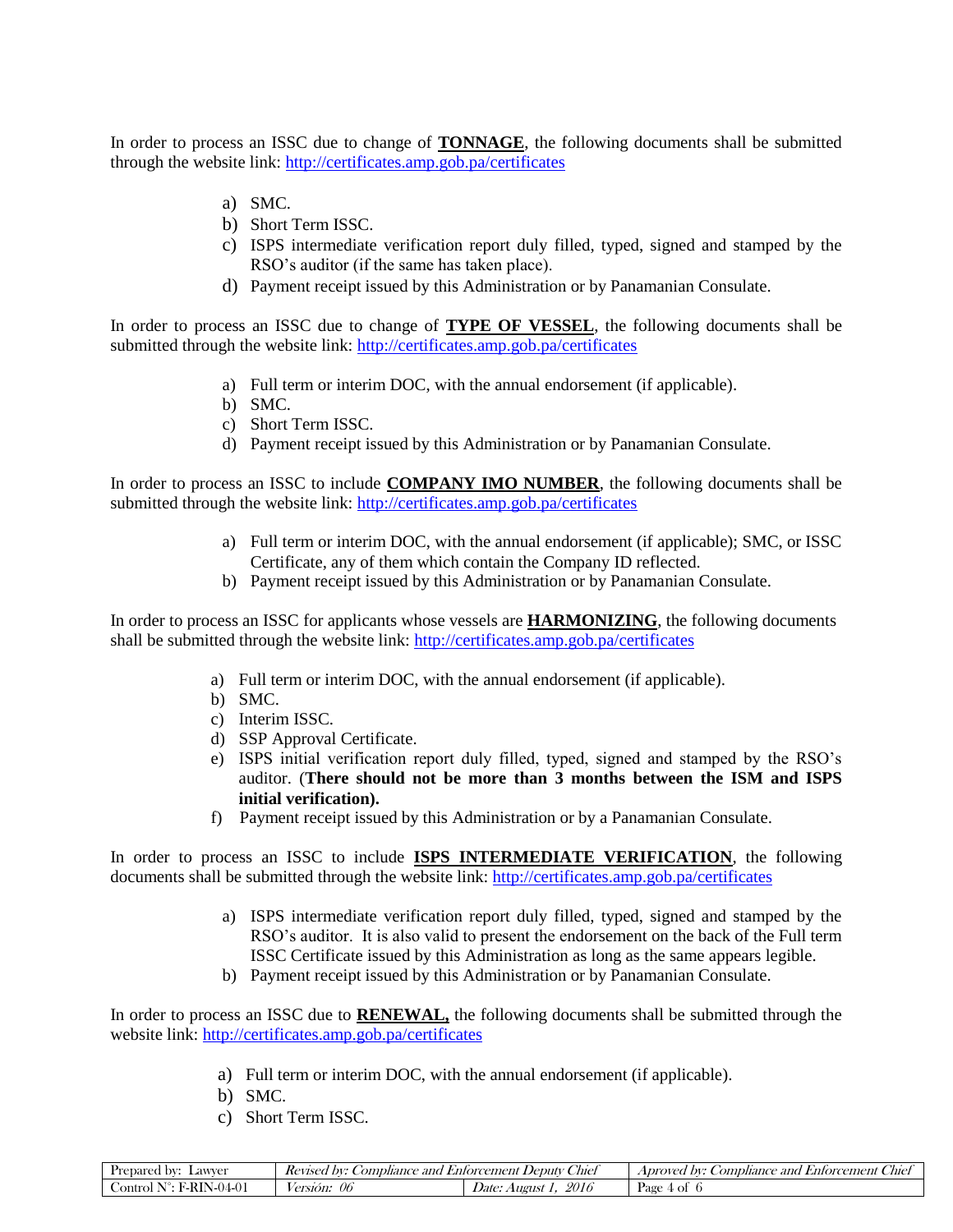In order to process an ISSC due to change of **TONNAGE**, the following documents shall be submitted through the website link:<http://certificates.amp.gob.pa/certificates>

- a) SMC.
- b) Short Term ISSC.
- c) ISPS intermediate verification report duly filled, typed, signed and stamped by the RSO's auditor (if the same has taken place).
- d) Payment receipt issued by this Administration or by Panamanian Consulate.

In order to process an ISSC due to change of **TYPE OF VESSEL**, the following documents shall be submitted through the website link:<http://certificates.amp.gob.pa/certificates>

- a) Full term or interim DOC, with the annual endorsement (if applicable).
- b) SMC.
- c) Short Term ISSC.
- d) Payment receipt issued by this Administration or by Panamanian Consulate.

In order to process an ISSC to include **COMPANY IMO NUMBER**, the following documents shall be submitted through the website link:<http://certificates.amp.gob.pa/certificates>

- a) Full term or interim DOC, with the annual endorsement (if applicable); SMC, or ISSC Certificate, any of them which contain the Company ID reflected.
- b) Payment receipt issued by this Administration or by Panamanian Consulate.

In order to process an ISSC for applicants whose vessels are **HARMONIZING**, the following documents shall be submitted through the website link:<http://certificates.amp.gob.pa/certificates>

- a) Full term or interim DOC, with the annual endorsement (if applicable).
- b) SMC.
- c) Interim ISSC.
- d) SSP Approval Certificate.
- e) ISPS initial verification report duly filled, typed, signed and stamped by the RSO's auditor. (**There should not be more than 3 months between the ISM and ISPS initial verification).**
- f) Payment receipt issued by this Administration or by a Panamanian Consulate.

In order to process an ISSC to include **ISPS INTERMEDIATE VERIFICATION**, the following documents shall be submitted through the website link:<http://certificates.amp.gob.pa/certificates>

- a) ISPS intermediate verification report duly filled, typed, signed and stamped by the RSO's auditor. It is also valid to present the endorsement on the back of the Full term ISSC Certificate issued by this Administration as long as the same appears legible.
- b) Payment receipt issued by this Administration or by Panamanian Consulate.

In order to process an ISSC due to **RENEWAL,** the following documents shall be submitted through the website link:<http://certificates.amp.gob.pa/certificates>

- a) Full term or interim DOC, with the annual endorsement (if applicable).
- b) SMC.
- c) Short Term ISSC.

| epared<br>∟awver<br>bv:     | --<br>. ombliance<br>DV.<br>and<br>Kevisea | ~<br>Chief<br>. Deputy<br>Enforcem<br>ement | --<br>$\mathbf{u}$<br>Auel<br>Aproved<br>omphance<br>$D V^*$<br>and<br><i>Enforcement</i> |
|-----------------------------|--------------------------------------------|---------------------------------------------|-------------------------------------------------------------------------------------------|
| 4. O<br>əntro<br>ורז<br>א - | vc<br>ersion.                              | 2016<br>August<br>Date:                     | Page<br>ОI                                                                                |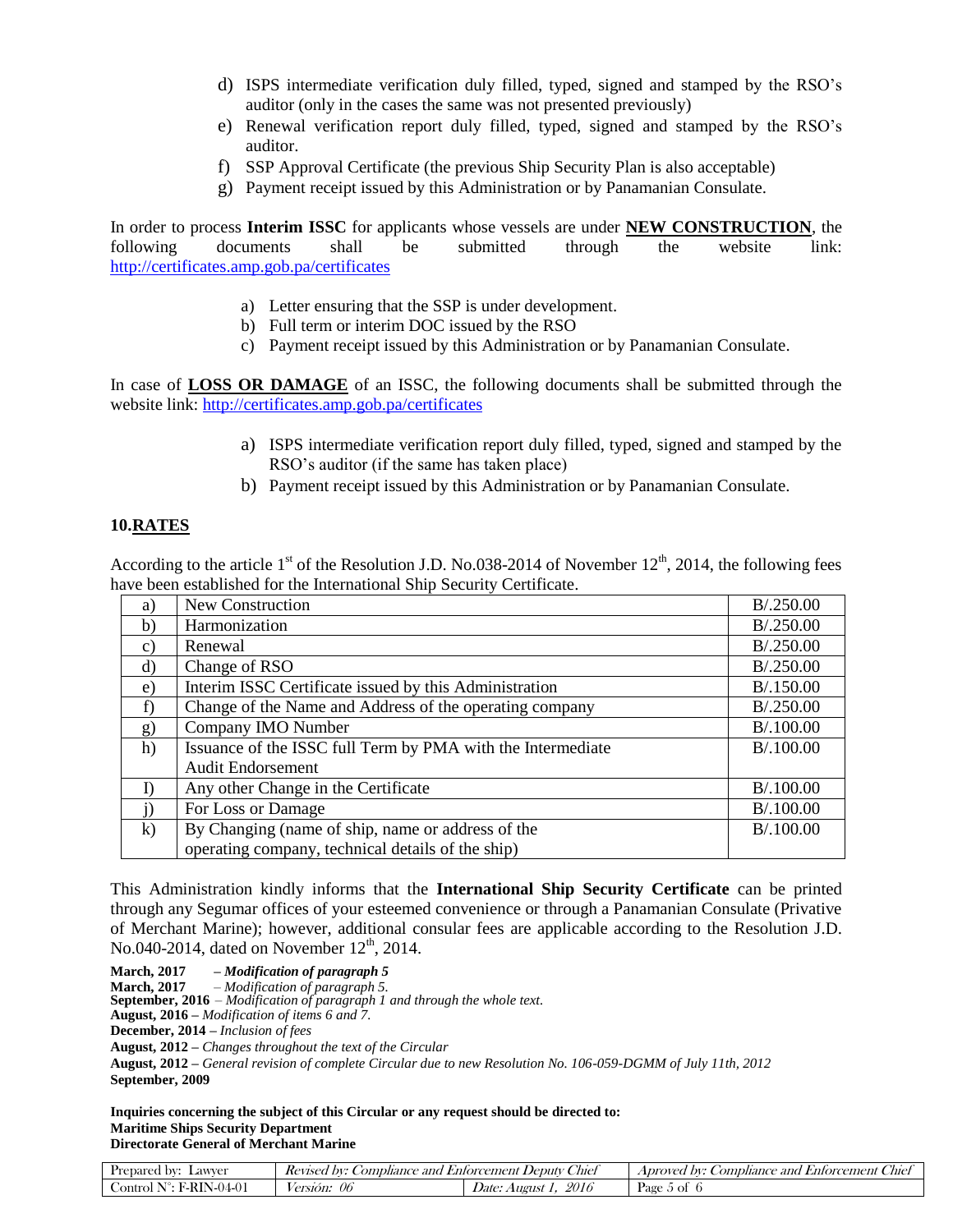- d) ISPS intermediate verification duly filled, typed, signed and stamped by the RSO's auditor (only in the cases the same was not presented previously)
- e) Renewal verification report duly filled, typed, signed and stamped by the RSO's auditor.
- f) SSP Approval Certificate (the previous Ship Security Plan is also acceptable)
- g) Payment receipt issued by this Administration or by Panamanian Consulate.

In order to process **Interim ISSC** for applicants whose vessels are under **NEW CONSTRUCTION**, the following documents shall be submitted through the website link: <http://certificates.amp.gob.pa/certificates>

- a) Letter ensuring that the SSP is under development.
- b) Full term or interim DOC issued by the RSO
- c) Payment receipt issued by this Administration or by Panamanian Consulate.

In case of **LOSS OR DAMAGE** of an ISSC, the following documents shall be submitted through the website link:<http://certificates.amp.gob.pa/certificates>

- a) ISPS intermediate verification report duly filled, typed, signed and stamped by the RSO's auditor (if the same has taken place)
- b) Payment receipt issued by this Administration or by Panamanian Consulate.

#### **10.RATES**

According to the article  $1<sup>st</sup>$  of the Resolution J.D. No.038-2014 of November  $12<sup>th</sup>$ , 2014, the following fees have been established for the International Ship Security Certificate.

| a)              | New Construction                                            | B/.250.00 |
|-----------------|-------------------------------------------------------------|-----------|
| b)              | Harmonization                                               | B/.250.00 |
| $\mathcal{C}$ ) | Renewal                                                     | B/.250.00 |
| d)              | Change of RSO                                               | B/.250.00 |
| $\epsilon$ )    | Interim ISSC Certificate issued by this Administration      | B/.150.00 |
| f)              | Change of the Name and Address of the operating company     | B/.250.00 |
| g)              | Company IMO Number                                          | B/.100.00 |
| h)              | Issuance of the ISSC full Term by PMA with the Intermediate | B/.100.00 |
|                 | <b>Audit Endorsement</b>                                    |           |
| I)              | Any other Change in the Certificate                         | B/.100.00 |
| j)              | For Loss or Damage                                          | B/.100.00 |
| $\bf k)$        | By Changing (name of ship, name or address of the           | B/.100.00 |
|                 | operating company, technical details of the ship)           |           |

This Administration kindly informs that the **International Ship Security Certificate** can be printed through any Segumar offices of your esteemed convenience or through a Panamanian Consulate (Privative of Merchant Marine); however, additional consular fees are applicable according to the Resolution J.D. No.040-2014, dated on November  $12<sup>th</sup>$ , 2014.

**March, 2017** *– Modification of paragraph 5*

**March, 2017** *– Modification of paragraph 5.*

**September, 2016** *– Modification of paragraph 1 and through the whole text.*

**August, 2016 –** *Modification of items 6 and 7.*

**December, 2014 –** *Inclusion of fees*

**August, 2012 –** *Changes throughout the text of the Circular*

**August, 2012 –** *General revision of complete Circular due to new Resolution No. 106-059-DGMM of July 11th, 2012* **September, 2009**

**Inquiries concerning the subject of this Circular or any request should be directed to: Maritime Ships Security Department Directorate General of Merchant Marine**

| -<br>Lawver<br><b>Prepared by:</b> | <i>_omphance</i><br>DV:<br>and<br>Kevised | $\sim$<br>_'hie!<br>Deputy C<br>Enforcement | <b>T</b><br>$\sim$<br>_'hief<br>and<br>Aproved by:<br><i>Enforcement</i> (<br>. ombliance |
|------------------------------------|-------------------------------------------|---------------------------------------------|-------------------------------------------------------------------------------------------|
| $\cdot$ RIN 04.07<br>ontrol<br>.   | 06<br><i>Version:</i>                     | 2016<br>August<br><i>Jate:</i>              | Page,<br>- OI                                                                             |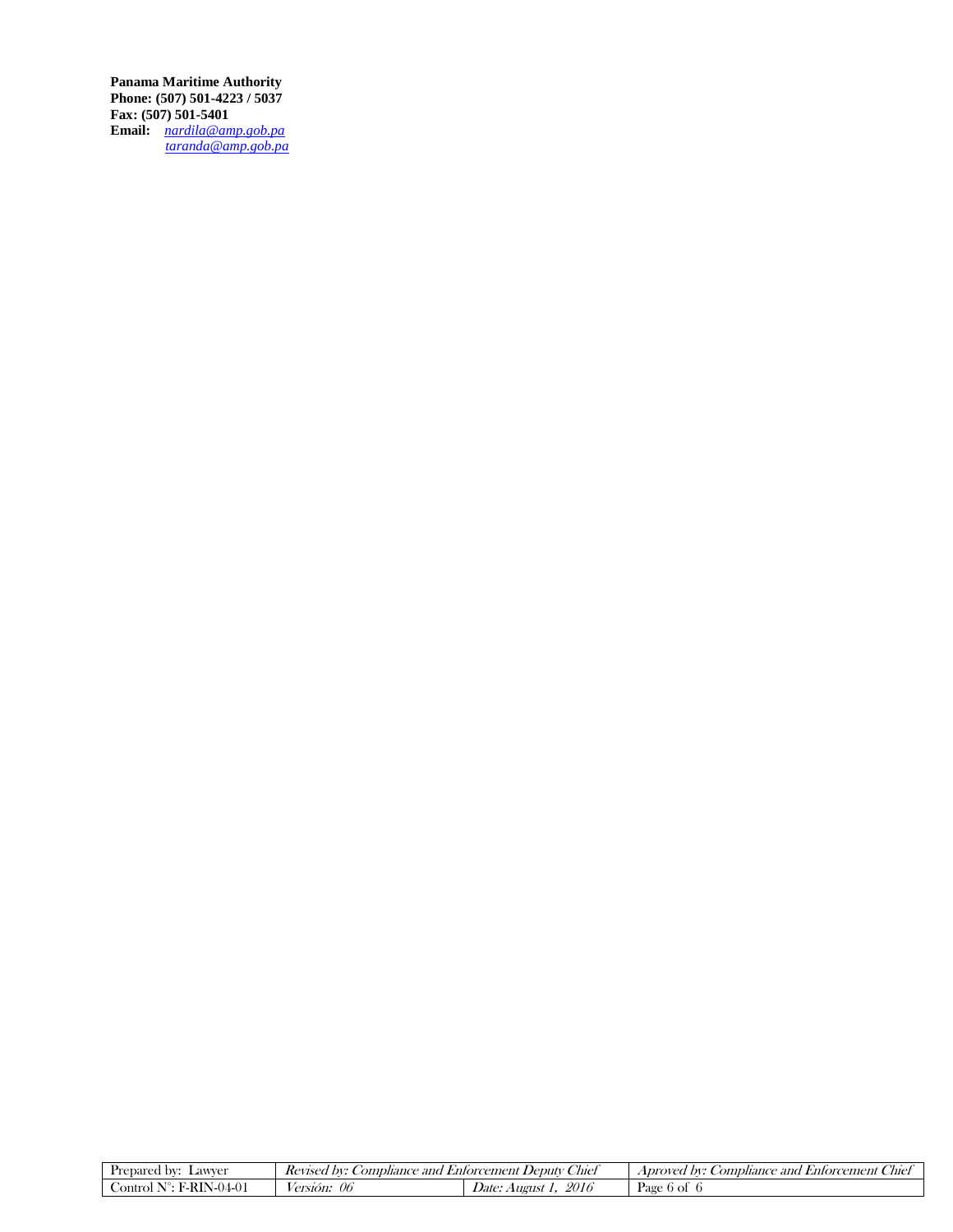**Panama Maritime Authority Phone: (507) 501-4223 / 5037 Fax: (507) 501-5401 Email:** *[nardila@amp.gob.pa](mailto:nardila@amp.gob.pa) taranda@amp.gob.pa* 

| repared :<br>∟awver<br>DV. | $\sim$<br>$\rightarrow$<br>/met<br>$\rho$ edul $\nu$<br>DV:<br><i>_ombliance</i><br>Kevisec<br>Enforcement<br>anc |                         | -<br>~<br><i>_ombliance</i><br>Chie.<br>DV:<br>Aprovec<br><i>Enforcement</i><br>anc |
|----------------------------|-------------------------------------------------------------------------------------------------------------------|-------------------------|-------------------------------------------------------------------------------------|
| ontrol<br>1. IL<br>$-1$    | 06<br>ersion:                                                                                                     | 2016<br>Jate:<br>August | Page<br>$0$ of                                                                      |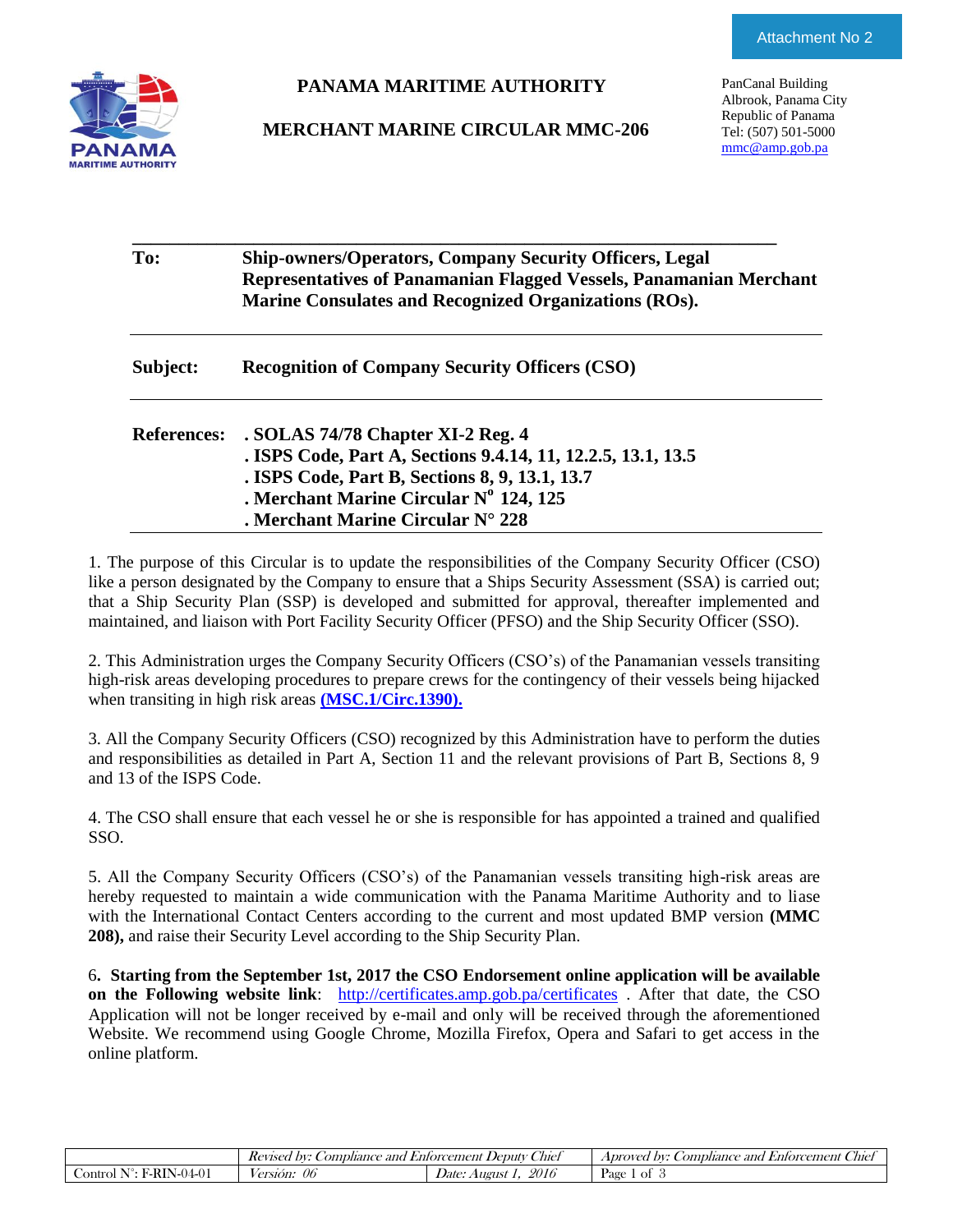

#### **PANAMA MARITIME AUTHORITY**

#### **MERCHANT MARINE CIRCULAR MMC-206**

PanCanal Building Albrook, Panama City Republic of Panama Tel: (507) 501-5000 [mmc@amp.gob.pa](mailto:mmc@amp.gob.pa)

| To:                | <b>Ship-owners/Operators, Company Security Officers, Legal</b><br>Representatives of Panamanian Flagged Vessels, Panamanian Merchant<br>Marine Consulates and Recognized Organizations (ROs).                                      |
|--------------------|------------------------------------------------------------------------------------------------------------------------------------------------------------------------------------------------------------------------------------|
| Subject:           | <b>Recognition of Company Security Officers (CSO)</b>                                                                                                                                                                              |
| <b>References:</b> | . SOLAS 74/78 Chapter XI-2 Reg. 4<br>. ISPS Code, Part A, Sections 9.4.14, 11, 12.2.5, 13.1, 13.5<br>. ISPS Code, Part B, Sections 8, 9, 13.1, 13.7<br>. Merchant Marine Circular Nº 124, 125<br>. Merchant Marine Circular N° 228 |

1. The purpose of this Circular is to update the responsibilities of the Company Security Officer (CSO) like a person designated by the Company to ensure that a Ships Security Assessment (SSA) is carried out; that a Ship Security Plan (SSP) is developed and submitted for approval, thereafter implemented and maintained, and liaison with Port Facility Security Officer (PFSO) and the Ship Security Officer (SSO).

2. This Administration urges the Company Security Officers (CSO's) of the Panamanian vessels transiting high-risk areas developing procedures to prepare crews for the contingency of their vessels being hijacked when transiting in high risk areas **[\(MSC.1/Circ.1390\).](MSC%201-Circ%201390.pdf)**

3. All the Company Security Officers (CSO) recognized by this Administration have to perform the duties and responsibilities as detailed in Part A, Section 11 and the relevant provisions of Part B, Sections 8, 9 and 13 of the ISPS Code.

4. The CSO shall ensure that each vessel he or she is responsible for has appointed a trained and qualified SSO.

5. All the Company Security Officers (CSO's) of the Panamanian vessels transiting high-risk areas are hereby requested to maintain a wide communication with the Panama Maritime Authority and to liase with the International Contact Centers according to the current and most updated BMP version **(MMC 208),** and raise their Security Level according to the Ship Security Plan.

6**. Starting from the September 1st, 2017 the CSO Endorsement online application will be available on the Following website link**: <http://certificates.amp.gob.pa/certificates> . After that date, the CSO Application will not be longer received by e-mail and only will be received through the aforementioned Website. We recommend using Google Chrome, Mozilla Firefox, Opera and Safari to get access in the online platform.

|                                 | . .<br><i>_omphance</i><br>and<br>DV:<br>Kevised | $\sim$<br>.'Inel<br>.1 Enforcement Deputy | -<br>$\sim$<br><i>sompliance</i><br><i>Enforcement</i><br>Auel<br>Aproved<br>and '<br>hv: |
|---------------------------------|--------------------------------------------------|-------------------------------------------|-------------------------------------------------------------------------------------------|
| - F-RIN<br>N-04-01<br>∴ontrol ∶ | 06<br>ersión:                                    | 2016<br><i>Date:</i><br>August            | Page<br>Οİ                                                                                |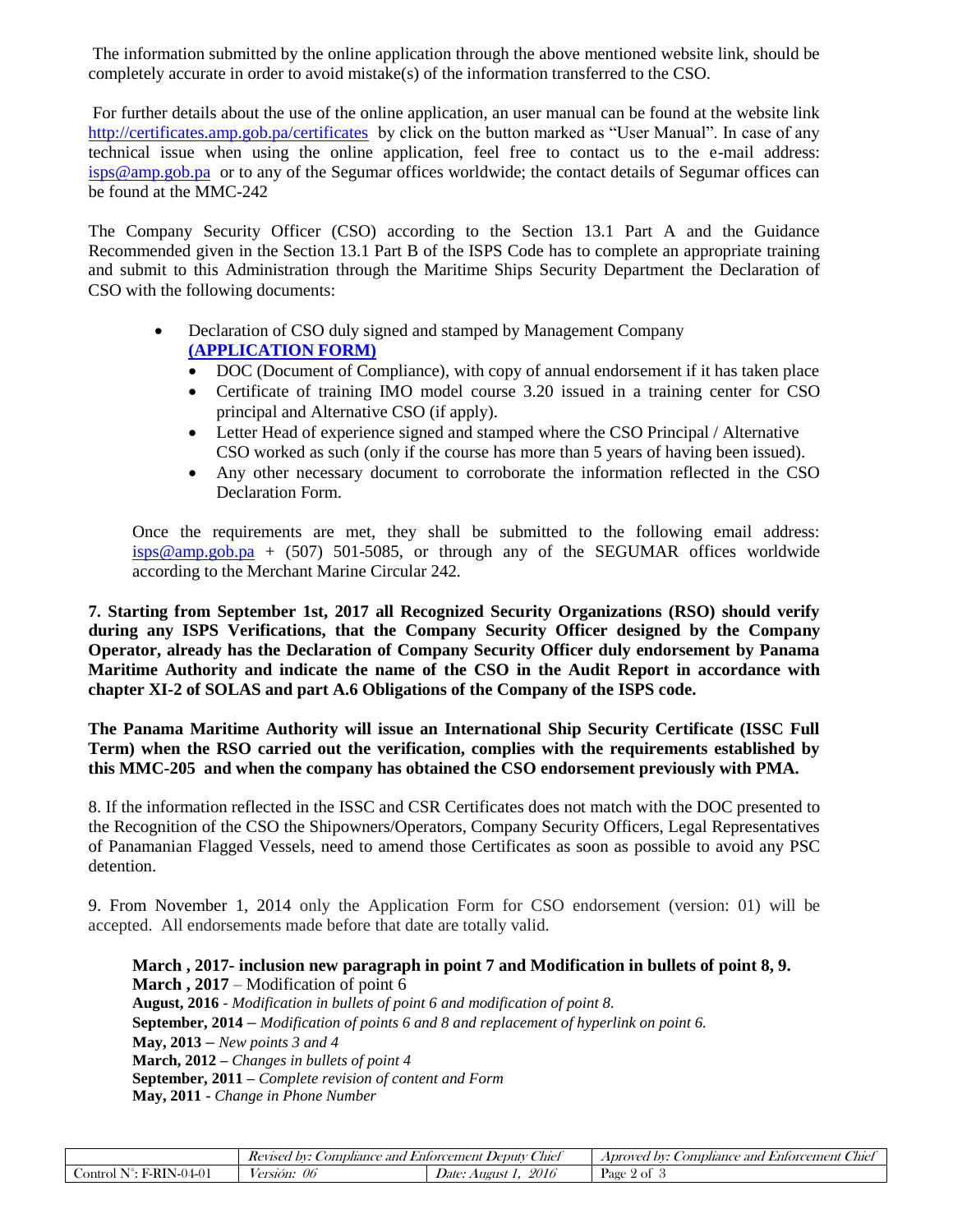The information submitted by the online application through the above mentioned website link, should be completely accurate in order to avoid mistake(s) of the information transferred to the CSO.

For further details about the use of the online application, an user manual can be found at the website link <http://certificates.amp.gob.pa/certificates>by click on the button marked as "User Manual". In case of any technical issue when using the online application, feel free to contact us to the e-mail address: [isps@amp.gob.pa](mailto:isps@amp.gob.pa) or to any of the Segumar offices worldwide; the contact details of Segumar offices can be found at the MMC-242

The Company Security Officer (CSO) according to the Section 13.1 Part A and the Guidance Recommended given in the Section 13.1 Part B of the ISPS Code has to complete an appropriate training and submit to this Administration through the Maritime Ships Security Department the Declaration of CSO with the following documents:

- Declaration of CSO duly signed and stamped by Management Company **[\(APPLICATION FORM\)](APPLICATION%20FORM.docx)**
	- DOC (Document of Compliance), with copy of annual endorsement if it has taken place
	- Certificate of training IMO model course 3.20 issued in a training center for CSO principal and Alternative CSO (if apply).
	- Letter Head of experience signed and stamped where the CSO Principal / Alternative CSO worked as such (only if the course has more than 5 years of having been issued).
	- Any other necessary document to corroborate the information reflected in the CSO Declaration Form.

Once the requirements are met, they shall be submitted to the following email address:  $isps@amp.gov.pa + (507) 501-5085$ , or through any of the SEGUMAR offices worldwide according to the Merchant Marine Circular 242.

**7. Starting from September 1st, 2017 all Recognized Security Organizations (RSO) should verify during any ISPS Verifications, that the Company Security Officer designed by the Company Operator, already has the Declaration of Company Security Officer duly endorsement by Panama Maritime Authority and indicate the name of the CSO in the Audit Report in accordance with chapter XI-2 of SOLAS and part A.6 Obligations of the Company of the ISPS code.**

**The Panama Maritime Authority will issue an International Ship Security Certificate (ISSC Full Term) when the RSO carried out the verification, complies with the requirements established by this MMC-205 and when the company has obtained the CSO endorsement previously with PMA.**

8. If the information reflected in the ISSC and CSR Certificates does not match with the DOC presented to the Recognition of the CSO the Shipowners/Operators, Company Security Officers, Legal Representatives of Panamanian Flagged Vessels, need to amend those Certificates as soon as possible to avoid any PSC detention.

9. From November 1, 2014 only the Application Form for CSO endorsement (version: 01) will be accepted. All endorsements made before that date are totally valid.

**March , 2017- inclusion new paragraph in point 7 and Modification in bullets of point 8, 9. March , 2017** – Modification of point 6 **August, 2016** - *Modification in bullets of point 6 and modification of point 8.* **September, 2014 –** *Modification of points 6 and 8 and replacement of hyperlink on point 6.* **May, 2013 –** *New points 3 and 4* **March, 2012 –** *Changes in bullets of point 4* **September, 2011 –** *Complete revision of content and Form*

**May, 2011 -** *Change in Phone Number*

|                      | -<br><i>_omphance</i><br>and<br>Kevisea<br>DV: | $\sqrt{11}$<br>Auet<br>Entorcement<br><i>Deputy</i> | -<br>--<br>bv:<br>, ombliance<br>ano<br>  <i>Entorcement</i>  <br>Aproved<br>Chie <sup>t</sup> |
|----------------------|------------------------------------------------|-----------------------------------------------------|------------------------------------------------------------------------------------------------|
| $\eta_{4}$<br>ontrol | 06<br>ersion:                                  | 2016<br>Date<br>August                              | ' Ol<br>Page<br>-                                                                              |